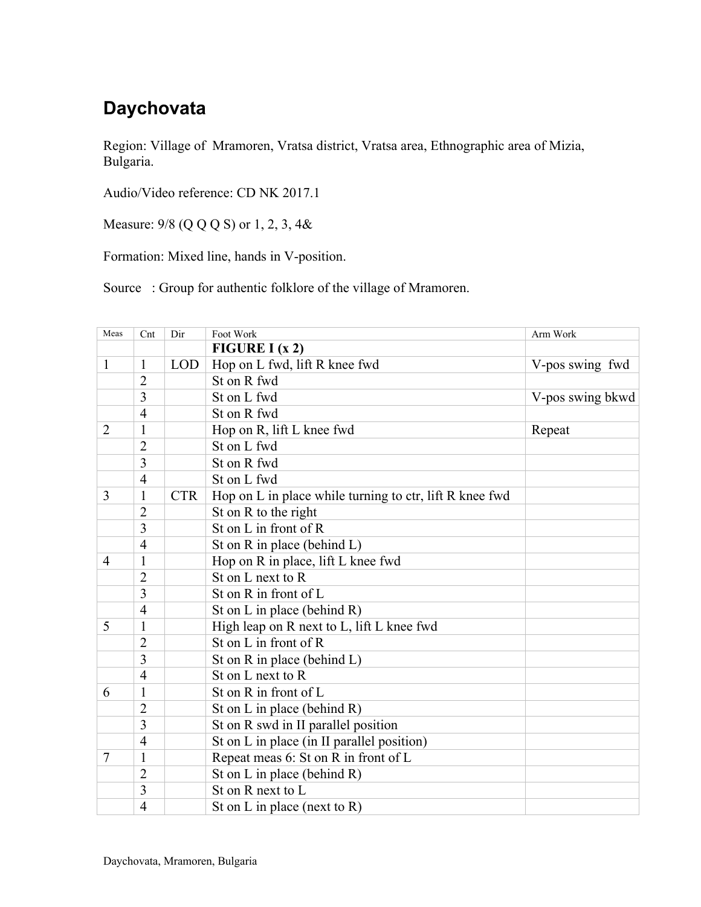## **Daychovata**

Region: Village of Mramoren, Vratsa district, Vratsa area, Ethnographic area of Mizia, Bulgaria.

Audio/Video reference: CD NK 2017.1

Measure: 9/8 (Q Q Q S) or 1, 2, 3, 4&

Formation: Mixed line, hands in V-position.

Source : Group for authentic folklore of the village of Mramoren.

| Meas           | Cnt            | Dir        | Foot Work                                               | Arm Work          |
|----------------|----------------|------------|---------------------------------------------------------|-------------------|
|                |                |            | FIGURE I $(x 2)$                                        |                   |
| $\mathbf{1}$   | 1              | <b>LOD</b> | Hop on L fwd, lift R knee fwd                           | V-pos swing fwd   |
|                | $\overline{2}$ |            | St on R fwd                                             |                   |
|                | 3              |            | St on L fwd                                             | V-pos swing b kwd |
|                | $\overline{4}$ |            | St on R fwd                                             |                   |
| $\overline{2}$ | 1              |            | Hop on R, lift L knee fwd                               | Repeat            |
|                | $\overline{2}$ |            | St on L fwd                                             |                   |
|                | 3              |            | St on R fwd                                             |                   |
|                | $\overline{4}$ |            | St on L fwd                                             |                   |
| 3              | 1              | <b>CTR</b> | Hop on L in place while turning to ctr, lift R knee fwd |                   |
|                | $\overline{2}$ |            | St on R to the right                                    |                   |
|                | 3              |            | St on L in front of R                                   |                   |
|                | $\overline{4}$ |            | St on $R$ in place (behind $L$ )                        |                   |
| 4              | 1              |            | Hop on R in place, lift L knee fwd                      |                   |
|                | $\overline{2}$ |            | St on L next to R                                       |                   |
|                | 3              |            | St on R in front of L                                   |                   |
|                | $\overline{4}$ |            | St on L in place (behind R)                             |                   |
| 5              | $\mathbf{1}$   |            | High leap on R next to L, lift L knee fwd               |                   |
|                | $\overline{2}$ |            | St on L in front of R                                   |                   |
|                | 3              |            | St on $R$ in place (behind $L$ )                        |                   |
|                | $\overline{4}$ |            | St on L next to R                                       |                   |
| 6              | $\mathbf{1}$   |            | St on R in front of L                                   |                   |
|                | 2              |            | St on L in place (behind $R$ )                          |                   |
|                | 3              |            | St on R swd in II parallel position                     |                   |
|                | $\overline{4}$ |            | St on L in place (in II parallel position)              |                   |
| 7              | $\mathbf{1}$   |            | Repeat meas 6: St on R in front of L                    |                   |
|                | $\overline{2}$ |            | St on L in place (behind R)                             |                   |
|                | 3              |            | St on R next to L                                       |                   |
|                | $\overline{4}$ |            | St on L in place (next to R)                            |                   |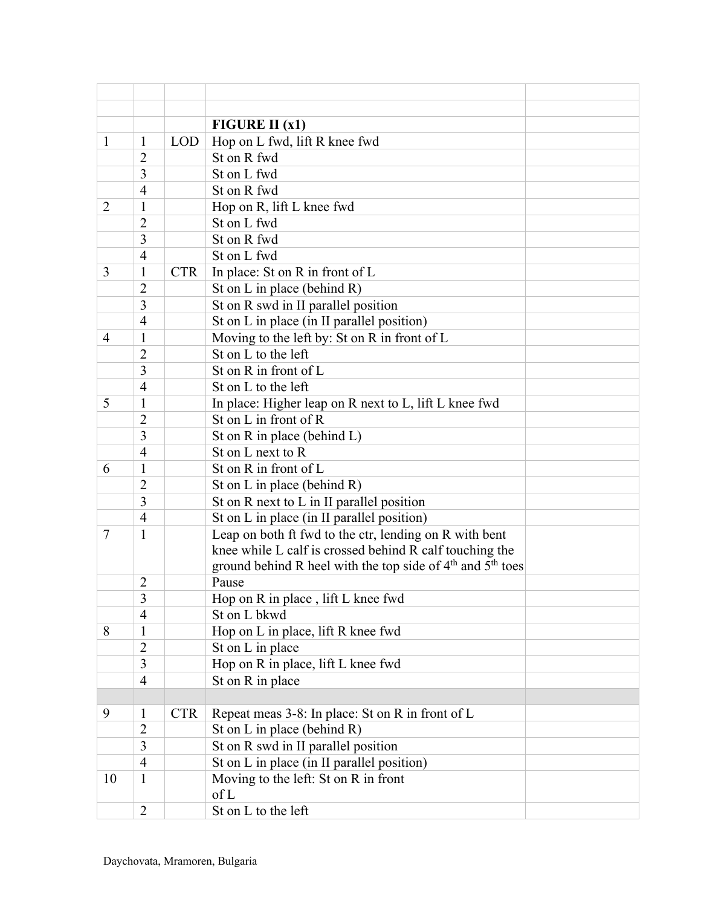|                          |                                |            | FIGURE II $(x1)$                                                                   |  |  |  |
|--------------------------|--------------------------------|------------|------------------------------------------------------------------------------------|--|--|--|
| 1                        | 1                              | <b>LOD</b> | Hop on L fwd, lift R knee fwd                                                      |  |  |  |
|                          | $\overline{2}$                 |            | St on R fwd                                                                        |  |  |  |
|                          | 3                              |            | St on L fwd                                                                        |  |  |  |
|                          | $\overline{4}$                 |            | St on R fwd                                                                        |  |  |  |
| 2                        | 1                              |            | Hop on R, lift L knee fwd                                                          |  |  |  |
|                          | $\overline{2}$                 |            | St on L fwd                                                                        |  |  |  |
|                          | 3                              |            | St on R fwd                                                                        |  |  |  |
|                          | $\overline{4}$                 |            | St on L fwd                                                                        |  |  |  |
| 3                        | $\mathbf{1}$                   | <b>CTR</b> | In place: St on R in front of L                                                    |  |  |  |
|                          | $\overline{2}$                 |            | St on L in place (behind $R$ )                                                     |  |  |  |
|                          | 3                              |            | St on R swd in II parallel position                                                |  |  |  |
|                          | $\overline{4}$                 |            | St on L in place (in II parallel position)                                         |  |  |  |
| $\overline{\mathcal{A}}$ | 1                              |            | Moving to the left by: St on R in front of L                                       |  |  |  |
|                          | $\overline{2}$                 |            | St on L to the left                                                                |  |  |  |
|                          | 3                              |            | St on R in front of L                                                              |  |  |  |
|                          | $\overline{4}$                 |            | St on L to the left                                                                |  |  |  |
| 5                        | 1                              |            | In place: Higher leap on R next to L, lift L knee fwd                              |  |  |  |
|                          | $\overline{2}$                 |            | St on L in front of R                                                              |  |  |  |
|                          | 3                              |            | St on R in place (behind L)                                                        |  |  |  |
|                          | $\overline{4}$                 |            | St on L next to R                                                                  |  |  |  |
| 6                        | 1                              |            | St on R in front of L                                                              |  |  |  |
|                          | $\overline{2}$                 |            | St on L in place (behind R)                                                        |  |  |  |
|                          | 3                              |            | St on R next to L in II parallel position                                          |  |  |  |
|                          | $\overline{4}$                 |            | St on L in place (in II parallel position)                                         |  |  |  |
| $\tau$                   | $\mathbf{1}$                   |            | Leap on both ft fwd to the ctr, lending on R with bent                             |  |  |  |
|                          |                                |            | knee while L calf is crossed behind R calf touching the                            |  |  |  |
|                          |                                |            | ground behind R heel with the top side of 4 <sup>th</sup> and 5 <sup>th</sup> toes |  |  |  |
|                          | $\overline{2}$                 |            | Pause                                                                              |  |  |  |
|                          | 3                              |            | Hop on R in place, lift L knee fwd                                                 |  |  |  |
|                          | $\overline{4}$                 |            | St on L bkwd                                                                       |  |  |  |
| 8                        | 1                              |            | Hop on L in place, lift R knee fwd                                                 |  |  |  |
|                          | $\overline{2}$                 |            | St on L in place                                                                   |  |  |  |
|                          | 3                              |            | Hop on R in place, lift L knee fwd                                                 |  |  |  |
|                          | $\overline{4}$                 |            | St on R in place                                                                   |  |  |  |
| 9                        |                                |            |                                                                                    |  |  |  |
|                          | $\mathbf{1}$<br>$\overline{2}$ | <b>CTR</b> | Repeat meas 3-8: In place: St on R in front of L                                   |  |  |  |
|                          | 3                              |            | St on L in place (behind R)                                                        |  |  |  |
|                          | $\overline{4}$                 |            | St on R swd in II parallel position                                                |  |  |  |
| 10                       | $\mathbf{1}$                   |            | St on L in place (in II parallel position)                                         |  |  |  |
|                          |                                |            | Moving to the left: St on R in front<br>of L                                       |  |  |  |
|                          | $\overline{2}$                 |            | St on L to the left                                                                |  |  |  |